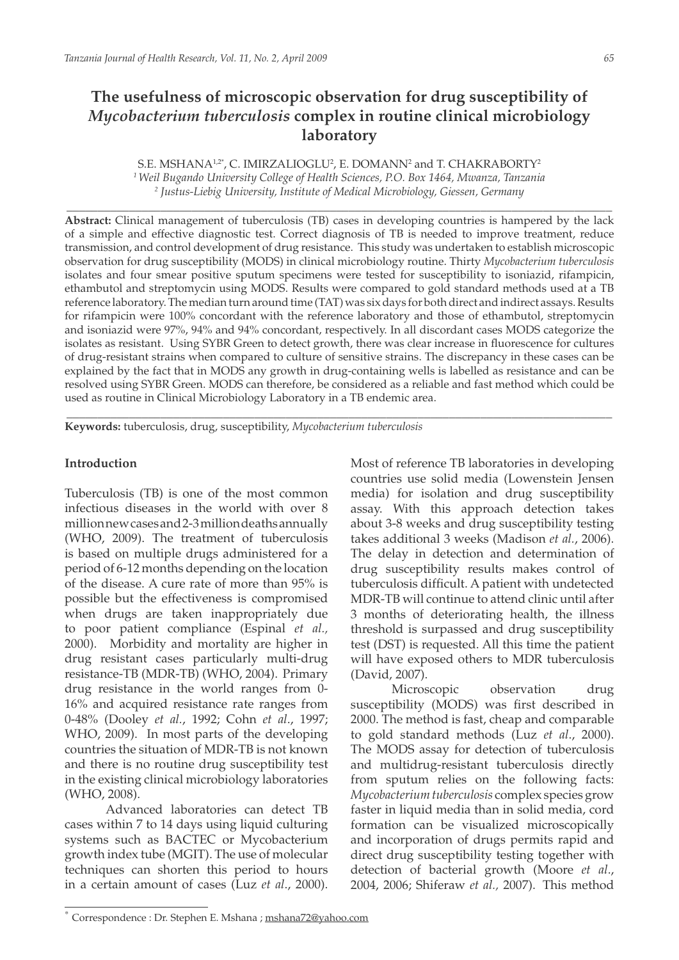# **The usefulness of microscopic observation for drug susceptibility of**  *Mycobacterium tuberculosis* **complex in routine clinical microbiology laboratory**

S.E. MSHANA12\*, C. IMIRZALIOGLU<sup>2</sup>, E. DOMANN<sup>2</sup> and T. CHAKRABORTY<sup>2</sup> *1 Weil Bugando University College of Health Sciences, P.O. Box 1464, Mwanza, Tanzania 2 Justus-Liebig University, Institute of Medical Microbiology, Giessen, Germany*

\_\_\_\_\_\_\_\_\_\_\_\_\_\_\_\_\_\_\_\_\_\_\_\_\_\_\_\_\_\_\_\_\_\_\_\_\_\_\_\_\_\_\_\_\_\_\_\_\_\_\_\_\_\_\_\_\_\_\_\_\_\_\_\_\_\_\_\_\_\_\_\_\_\_\_\_\_\_\_\_\_\_\_\_\_\_\_

**Abstract:** Clinical management of tuberculosis (TB) cases in developing countries is hampered by the lack of a simple and effective diagnostic test. Correct diagnosis of TB is needed to improve treatment, reduce transmission, and control development of drug resistance. This study was undertaken to establish microscopic observation for drug susceptibility (MODS) in clinical microbiology routine. Thirty *Mycobacterium tuberculosis* isolates and four smear positive sputum specimens were tested for susceptibility to isoniazid, rifampicin, ethambutol and streptomycin using MODS. Results were compared to gold standard methods used at a TB reference laboratory. The median turn around time (TAT) was six days for both direct and indirect assays. Results for rifampicin were 100% concordant with the reference laboratory and those of ethambutol, streptomycin and isoniazid were 97%, 94% and 94% concordant, respectively. In all discordant cases MODS categorize the isolates as resistant. Using SYBR Green to detect growth, there was clear increase in fluorescence for cultures of drug-resistant strains when compared to culture of sensitive strains. The discrepancy in these cases can be explained by the fact that in MODS any growth in drug-containing wells is labelled as resistance and can be resolved using SYBR Green. MODS can therefore, be considered as a reliable and fast method which could be used as routine in Clinical Microbiology Laboratory in a TB endemic area.

**\_\_\_\_\_\_\_\_\_\_\_\_\_\_\_\_\_\_\_\_\_\_\_\_\_\_\_\_\_\_\_\_\_\_\_\_\_\_\_\_\_\_\_\_\_\_\_\_\_\_\_\_\_\_\_\_\_\_\_\_\_\_\_\_\_\_\_\_\_\_\_\_\_\_\_\_\_\_\_\_\_\_\_\_\_\_\_**

**Keywords:** tuberculosis, drug, susceptibility, *Mycobacterium tuberculosis* 

#### **Introduction**

Tuberculosis (TB) is one of the most common infectious diseases in the world with over 8 million new cases and 2-3 million deaths annually (WHO, 2009). The treatment of tuberculosis is based on multiple drugs administered for a period of 6-12 months depending on the location of the disease. A cure rate of more than 95% is possible but the effectiveness is compromised when drugs are taken inappropriately due to poor patient compliance (Espinal *et al.,* 2000). Morbidity and mortality are higher in drug resistant cases particularly multi-drug resistance-TB (MDR-TB) (WHO, 2004). Primary drug resistance in the world ranges from 0- 16% and acquired resistance rate ranges from 0-48% (Dooley *et al.*, 1992; Cohn *et al*., 1997; WHO, 2009). In most parts of the developing countries the situation of MDR-TB is not known and there is no routine drug susceptibility test in the existing clinical microbiology laboratories (WHO, 2008).

Advanced laboratories can detect TB cases within 7 to 14 days using liquid culturing systems such as BACTEC or Mycobacterium growth index tube (MGIT). The use of molecular techniques can shorten this period to hours in a certain amount of cases (Luz *et al*., 2000).

Most of reference TB laboratories in developing countries use solid media (Lowenstein Jensen media) for isolation and drug susceptibility assay. With this approach detection takes about 3-8 weeks and drug susceptibility testing takes additional 3 weeks (Madison *et al.*, 2006). The delay in detection and determination of drug susceptibility results makes control of tuberculosis difficult. A patient with undetected MDR-TB will continue to attend clinic until after 3 months of deteriorating health, the illness threshold is surpassed and drug susceptibility test (DST) is requested. All this time the patient will have exposed others to MDR tuberculosis (David, 2007).

Microscopic observation drug susceptibility (MODS) was first described in 2000. The method is fast, cheap and comparable to gold standard methods (Luz *et al*., 2000). The MODS assay for detection of tuberculosis and multidrug-resistant tuberculosis directly from sputum relies on the following facts: *Mycobacterium tuberculosis* complex species grow faster in liquid media than in solid media, cord formation can be visualized microscopically and incorporation of drugs permits rapid and direct drug susceptibility testing together with detection of bacterial growth (Moore *et al*., 2004, 2006; Shiferaw *et al.,* 2007). This method

Correspondence : Dr. Stephen E. Mshana ; mshana72@yahoo.com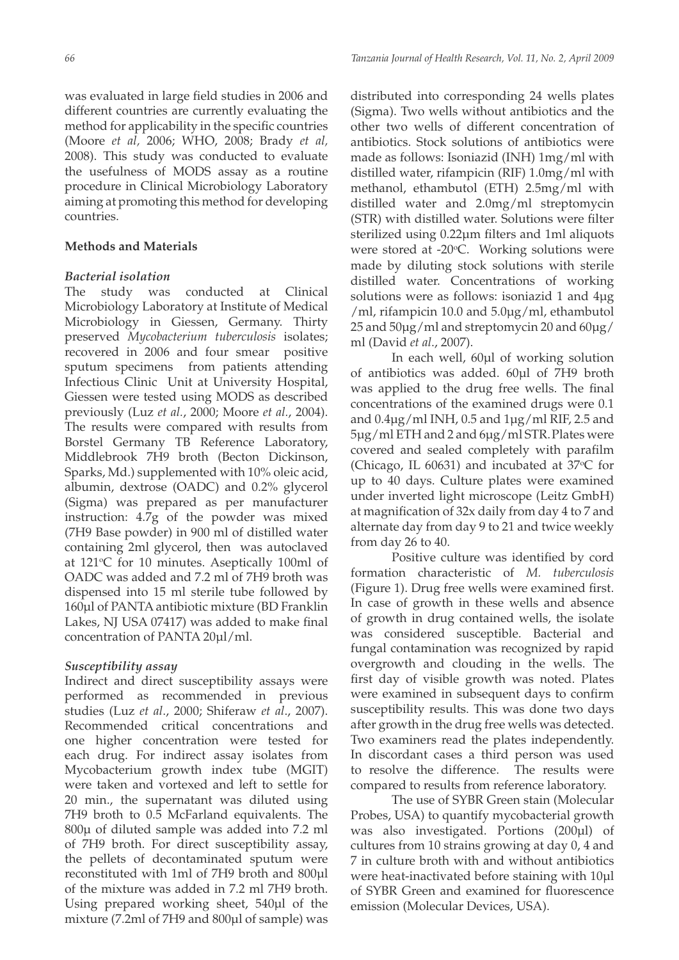was evaluated in large field studies in 2006 and different countries are currently evaluating the method for applicability in the specific countries (Moore *et al,* 2006; WHO, 2008; Brady *et al,* 2008). This study was conducted to evaluate the usefulness of MODS assay as a routine procedure in Clinical Microbiology Laboratory aiming at promoting this method for developing countries.

# **Methods and Materials**

# *Bacterial isolation*

The study was conducted at Clinical Microbiology Laboratory at Institute of Medical Microbiology in Giessen, Germany. Thirty preserved *Mycobacterium tuberculosis* isolates; recovered in 2006 and four smear positive sputum specimens from patients attending Infectious Clinic Unit at University Hospital, Giessen were tested using MODS as described previously (Luz *et al.*, 2000; Moore *et al.*, 2004). The results were compared with results from Borstel Germany TB Reference Laboratory, Middlebrook 7H9 broth (Becton Dickinson, Sparks, Md.) supplemented with 10% oleic acid, albumin, dextrose (OADC) and 0.2% glycerol (Sigma) was prepared as per manufacturer instruction: 4.7g of the powder was mixed (7H9 Base powder) in 900 ml of distilled water containing 2ml glycerol, then was autoclaved at  $121^{\circ}$ C for 10 minutes. Aseptically 100ml of OADC was added and 7.2 ml of 7H9 broth was dispensed into 15 ml sterile tube followed by 160µl of PANTA antibiotic mixture (BD Franklin Lakes, NJ USA 07417) was added to make final concentration of PANTA 20µl/ml.

# *Susceptibility assay*

Indirect and direct susceptibility assays were performed as recommended in previous studies (Luz *et al*., 2000; Shiferaw *et al*., 2007). Recommended critical concentrations and one higher concentration were tested for each drug. For indirect assay isolates from Mycobacterium growth index tube (MGIT) were taken and vortexed and left to settle for 20 min., the supernatant was diluted using 7H9 broth to 0.5 McFarland equivalents. The 800µ of diluted sample was added into 7.2 ml of 7H9 broth. For direct susceptibility assay, the pellets of decontaminated sputum were reconstituted with 1ml of 7H9 broth and 800µl of the mixture was added in 7.2 ml 7H9 broth. Using prepared working sheet, 540µl of the mixture (7.2ml of 7H9 and 800µl of sample) was

distributed into corresponding 24 wells plates (Sigma). Two wells without antibiotics and the other two wells of different concentration of antibiotics. Stock solutions of antibiotics were made as follows: Isoniazid (INH) 1mg/ml with distilled water, rifampicin (RIF) 1.0mg/ml with methanol, ethambutol (ETH) 2.5mg/ml with distilled water and 2.0mg/ml streptomycin (STR) with distilled water. Solutions were filter sterilized using 0.22µm filters and 1ml aliquots were stored at -20°C. Working solutions were made by diluting stock solutions with sterile distilled water. Concentrations of working solutions were as follows: isoniazid 1 and  $4\mu$ g /ml, rifampicin 10.0 and 5.0µg/ml, ethambutol 25 and 50µg/ml and streptomycin 20 and 60µg/ ml (David *et al*., 2007).

In each well, 60µl of working solution of antibiotics was added. 60µl of 7H9 broth was applied to the drug free wells. The final concentrations of the examined drugs were 0.1 and 0.4µg/ml INH, 0.5 and 1µg/ml RIF, 2.5 and 5µg/ml ETH and 2 and 6µg/ml STR.Plates were covered and sealed completely with parafilm (Chicago, IL 60631) and incubated at  $37^{\circ}$ C for up to 40 days. Culture plates were examined under inverted light microscope (Leitz GmbH) at magnification of 32x daily from day 4 to 7 and alternate day from day 9 to 21 and twice weekly from day 26 to 40.

Positive culture was identified by cord formation characteristic of *M. tuberculosis* (Figure 1). Drug free wells were examined first. In case of growth in these wells and absence of growth in drug contained wells, the isolate was considered susceptible. Bacterial and fungal contamination was recognized by rapid overgrowth and clouding in the wells. The first day of visible growth was noted. Plates were examined in subsequent days to confirm susceptibility results. This was done two days after growth in the drug free wells was detected. Two examiners read the plates independently. In discordant cases a third person was used to resolve the difference. The results were compared to results from reference laboratory.

The use of SYBR Green stain (Molecular Probes, USA) to quantify mycobacterial growth was also investigated. Portions (200µl) of cultures from 10 strains growing at day 0, 4 and 7 in culture broth with and without antibiotics were heat-inactivated before staining with 10µl of SYBR Green and examined for fluorescence emission (Molecular Devices, USA).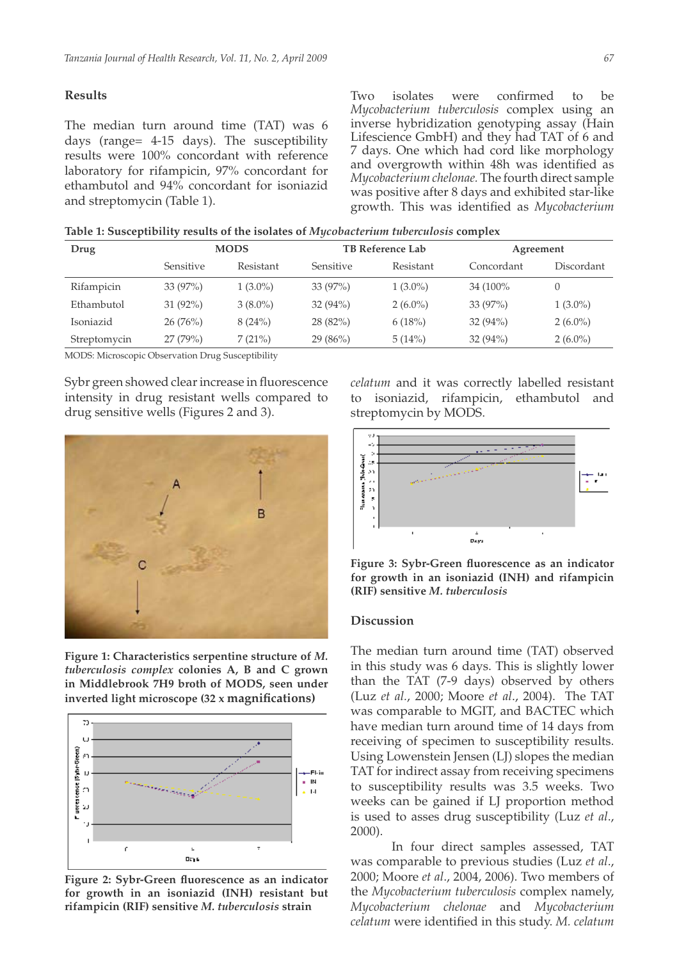## **Results**

The median turn around time (TAT) was 6 days (range= 4-15 days). The susceptibility results were 100% concordant with reference laboratory for rifampicin, 97% concordant for ethambutol and 94% concordant for isoniazid and streptomycin (Table 1).

Two isolates were confirmed to be *Mycobacterium tuberculosis* complex using an inverse hybridization genotyping assay (Hain Lifescience GmbH) and they had TAT of 6 and 7 days. One which had cord like morphology and overgrowth within 48h was identified as *Mycobacterium chelonae.* The fourth direct sample was positive after 8 days and exhibited star-like growth. This was identified as *Mycobacterium* 

**Table 1: Susceptibility results of the isolates of** *Mycobacterium tuberculosis* **complex**

| Drug         | <b>MODS</b> |            | <b>TB Reference Lab</b> |            | Agreement  |            |
|--------------|-------------|------------|-------------------------|------------|------------|------------|
|              | Sensitive   | Resistant  | <b>Sensitive</b>        | Resistant  | Concordant | Discordant |
| Rifampicin   | 33(97%)     | $1(3.0\%)$ | $33(97\%)$              | $1(3.0\%)$ | 34 (100%)  | $\theta$   |
| Ethambutol   | $31(92\%)$  | $3(8.0\%)$ | $32(94\%)$              | $2(6.0\%)$ | $33(97\%)$ | $1(3.0\%)$ |
| Isoniazid    | 26(76%)     | 8(24%)     | $28(82\%)$              | 6(18%)     | $32(94\%)$ | $2(6.0\%)$ |
| Streptomycin | 27(79%)     | 7(21%)     | $29(86\%)$              | 5(14%)     | $32(94\%)$ | $2(6.0\%)$ |

MODS: Microscopic Observation Drug Susceptibility

Sybr green showed clear increase in fluorescence intensity in drug resistant wells compared to drug sensitive wells (Figures 2 and 3).



**Figure 1: Characteristics serpentine structure of** *M. tuberculosis complex* **colonies A, B and C grown in Middlebrook 7H9 broth of MODS, seen under inverted light microscope (32 x magnifications)**



**Figure 2: Sybr-Green fluorescence as an indicator for growth in an isoniazid (INH) resistant but rifampicin (RIF) sensitive** *M. tuberculosis* **strain**

*celatum* and it was correctly labelled resistant to isoniazid, rifampicin, ethambutol and streptomycin by MODS.



**Figure 3: Sybr-Green fluorescence as an indicator for growth in an isoniazid (INH) and rifampicin (RIF) sensitive** *M. tuberculosis*

### **Discussion**

The median turn around time (TAT) observed in this study was 6 days. This is slightly lower than the TAT (7-9 days) observed by others (Luz *et al.*, 2000; Moore *et al*., 2004). The TAT was comparable to MGIT, and BACTEC which have median turn around time of 14 days from receiving of specimen to susceptibility results. Using Lowenstein Jensen (LJ) slopes the median TAT for indirect assay from receiving specimens to susceptibility results was 3.5 weeks. Two weeks can be gained if LJ proportion method is used to asses drug susceptibility (Luz *et al*., 2000).

In four direct samples assessed, TAT was comparable to previous studies (Luz *et al*., 2000; Moore *et al*., 2004, 2006). Two members of the *Mycobacterium tuberculosis* complex namely, *Mycobacterium chelonae* and *Mycobacterium celatum* were identified in this study. *M. celatum*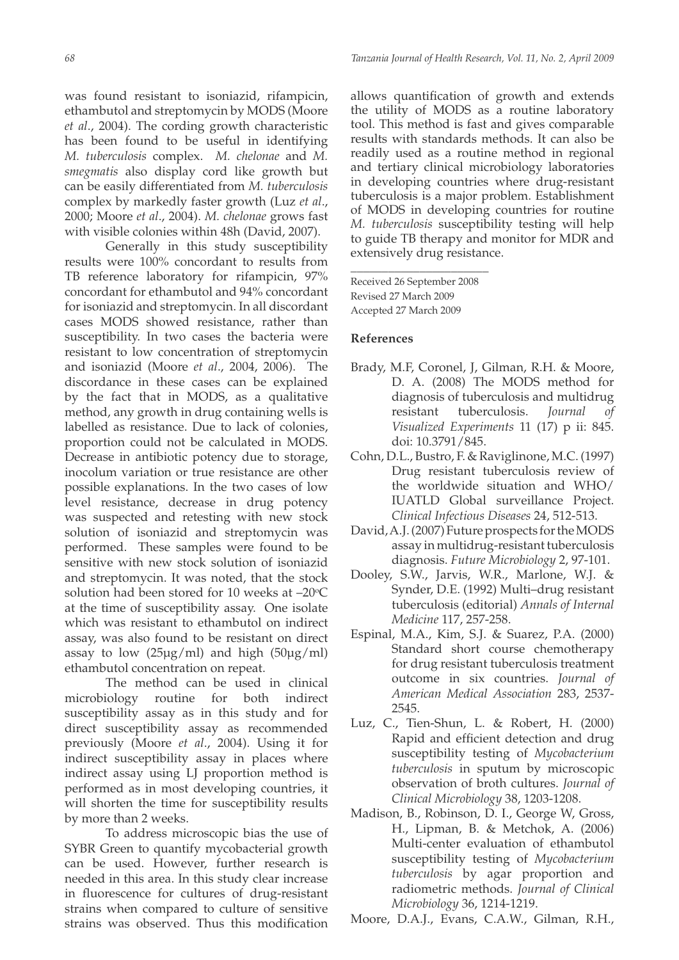was found resistant to isoniazid, rifampicin, ethambutol and streptomycin by MODS (Moore *et al*., 2004). The cording growth characteristic has been found to be useful in identifying *M. tuberculosis* complex. *M. chelonae* and *M. smegmatis* also display cord like growth but can be easily differentiated from *M. tuberculosis* complex by markedly faster growth (Luz *et al*., 2000; Moore *et al*., 2004). *M. chelonae* grows fast with visible colonies within 48h (David, 2007).

Generally in this study susceptibility results were 100% concordant to results from TB reference laboratory for rifampicin, 97% concordant for ethambutol and 94% concordant for isoniazid and streptomycin. In all discordant cases MODS showed resistance, rather than susceptibility. In two cases the bacteria were resistant to low concentration of streptomycin and isoniazid (Moore *et al*., 2004, 2006). The discordance in these cases can be explained by the fact that in MODS, as a qualitative method, any growth in drug containing wells is labelled as resistance. Due to lack of colonies, proportion could not be calculated in MODS. Decrease in antibiotic potency due to storage, inocolum variation or true resistance are other possible explanations. In the two cases of low level resistance, decrease in drug potency was suspected and retesting with new stock solution of isoniazid and streptomycin was performed. These samples were found to be sensitive with new stock solution of isoniazid and streptomycin. It was noted, that the stock solution had been stored for 10 weeks at  $-20^{\circ}C$ at the time of susceptibility assay. One isolate which was resistant to ethambutol on indirect assay, was also found to be resistant on direct assay to low  $(25\mu g/ml)$  and high  $(50\mu g/ml)$ ethambutol concentration on repeat.

The method can be used in clinical microbiology routine for both indirect susceptibility assay as in this study and for direct susceptibility assay as recommended previously (Moore *et al*., 2004). Using it for indirect susceptibility assay in places where indirect assay using LJ proportion method is performed as in most developing countries, it will shorten the time for susceptibility results by more than 2 weeks.

To address microscopic bias the use of SYBR Green to quantify mycobacterial growth can be used. However, further research is needed in this area. In this study clear increase in fluorescence for cultures of drug-resistant strains when compared to culture of sensitive strains was observed. Thus this modification

allows quantification of growth and extends the utility of MODS as a routine laboratory tool. This method is fast and gives comparable results with standards methods. It can also be readily used as a routine method in regional and tertiary clinical microbiology laboratories in developing countries where drug-resistant tuberculosis is a major problem. Establishment of MODS in developing countries for routine *M. tuberculosis* susceptibility testing will help to guide TB therapy and monitor for MDR and extensively drug resistance.

Received 26 September 2008 Revised 27 March 2009 Accepted 27 March 2009

\_\_\_\_\_\_\_\_\_\_\_\_\_\_\_\_\_\_\_\_\_\_

## **References**

- Brady, M.F, Coronel, J, Gilman, R.H. & Moore, D. A. (2008) The MODS method for diagnosis of tuberculosis and multidrug resistant tuberculosis. *Journal of Visualized Experiments* 11 (17) p ii: 845. doi: 10.3791/845.
- Cohn, D.L., Bustro, F. & Raviglinone, M.C. (1997) Drug resistant tuberculosis review of the worldwide situation and WHO/ IUATLD Global surveillance Project. *Clinical Infectious Diseases* 24, 512-513.
- David, A.J. (2007) Future prospects for the MODS assay in multidrug-resistant tuberculosis diagnosis. *Future Microbiology* 2, 97-101.
- Dooley, S.W., Jarvis, W.R., Marlone, W.J. & Synder, D.E. (1992) Multi–drug resistant tuberculosis (editorial) *Annals of Internal Medicine* 117, 257-258.
- Espinal, M.A., Kim, S.J. & Suarez, P.A. (2000) Standard short course chemotherapy for drug resistant tuberculosis treatment outcome in six countries. *Journal of American Medical Association* 283, 2537- 2545.
- Luz, C., Tien-Shun, L. & Robert, H. (2000) Rapid and efficient detection and drug susceptibility testing of *Mycobacterium tuberculosis* in sputum by microscopic observation of broth cultures. *Journal of Clinical Microbiology* 38, 1203-1208.
- Madison, B., Robinson, D. I., George W, Gross, H., Lipman, B. & Metchok, A. (2006) Multi-center evaluation of ethambutol susceptibility testing of *Mycobacterium tuberculosis* by agar proportion and radiometric methods. *Journal of Clinical Microbiology* 36, 1214-1219.
- Moore, D.A.J., Evans, C.A.W., Gilman, R.H.,